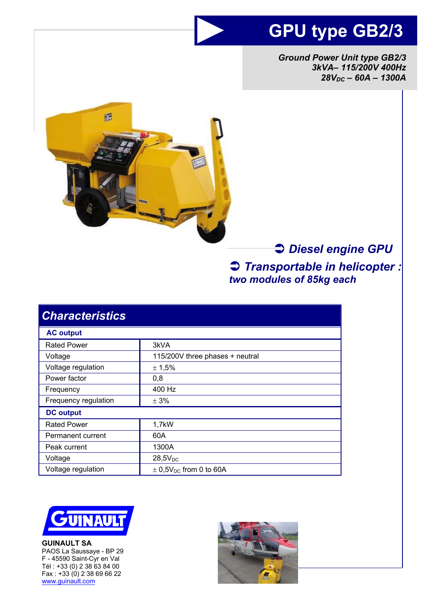# **GPU type GB2/3**

*Ground Power Unit type GB2/3 3kVA– 115/200V 400Hz 28VDC – 60A – 1300A* 



# Â *Diesel engine GPU* Â *Transportable in helicopter : two modules of 85kg each*

| <b>Characteristics</b> |                                        |
|------------------------|----------------------------------------|
| <b>AC output</b>       |                                        |
| <b>Rated Power</b>     | 3kVA                                   |
| Voltage                | 115/200V three phases + neutral        |
| Voltage regulation     | ± 1,5%                                 |
| Power factor           | 0,8                                    |
| Frequency              | 400 Hz                                 |
| Frequency regulation   | $\pm$ 3%                               |
| <b>DC</b> output       |                                        |
| <b>Rated Power</b>     | 1,7kW                                  |
| Permanent current      | 60A                                    |
| Peak current           | 1300A                                  |
| Voltage                | $28,5V_{DC}$                           |
| Voltage regulation     | $\pm$ 0,5V <sub>DC</sub> from 0 to 60A |



**GUINAULT SA**  PAOS La Saussaye - BP 29 F - 45590 Saint-Cyr en Val Tél : +33 (0) 2 38 63 84 00  $Fax : +33(0)$  2 38 69 66 22 www.guinault.com